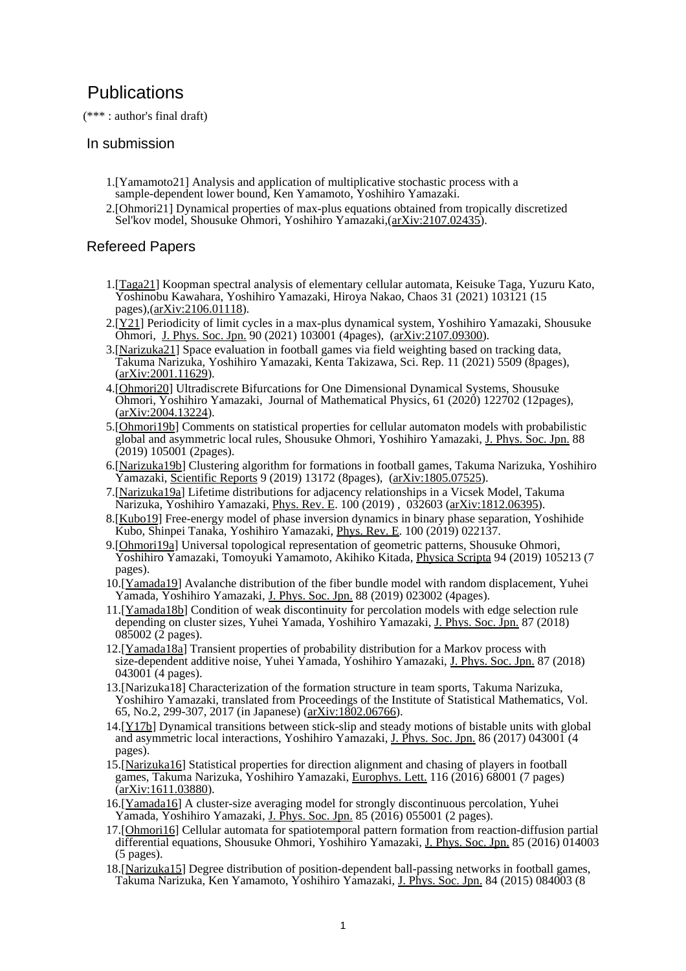## **Publications**

(\*\*\* : author's final draft)

## In submission

- 1.[Yamamoto21] Analysis and application of multiplicative stochastic process with a sample-dependent lower bound, Ken Yamamoto, Yoshihiro Yamazaki.
- 2.[Ohmori21] Dynamical properties of max-plus equations obtained from tropically discretized Sel'kov model, Shousuke Ohmori, Yoshihiro Yamazaki, ([arXiv:2107.02435\)](https://arxiv.org/abs/2107.02435).

## Refereed Papers

- 1.[\[Taga21\]](https://doi.org/10.1063/5.0059202) Koopman spectral analysis of elementary cellular automata, Keisuke Taga, Yuzuru Kato, Yoshinobu Kawahara, Yoshihiro Yamazaki, Hiroya Nakao, Chaos 31 (2021) 103121 (15 pages),([arXiv:2106.01118](https://arxiv.org/abs/2106.01118)).
- 2.[\[Y21](https://doi.org/10.7566/JPSJ.90.103001)] Periodicity of limit cycles in a max-plus dynamical system, Yoshihiro Yamazaki, Shousuke Ohmori, [J. Phys. Soc. Jpn.](http://journals.jps.jp/journal/jpsj) 90 (2021) 103001 (4pages), ([arXiv:2107.09300](https://arxiv.org/abs/2107.09300)).
- 3.[\[Narizuka21](https://doi.org/10.1038/s41598-021-84939-7)] Space evaluation in football games via field weighting based on tracking data, Takuma Narizuka, Yoshihiro Yamazaki, Kenta Takizawa, Sci. Rep. 11 (2021) 5509 (8pages), [\(arXiv:2001.11629](https://arxiv.org/abs/2001.11629)).
- 4.[\[Ohmori20\]](https://doi.org/10.1063/5.0012772) Ultradiscrete Bifurcations for One Dimensional Dynamical Systems, Shousuke Ohmori, Yoshihiro Yamazaki, Journal of Mathematical Physics, 61 (2020) 122702 (12pages), [\(arXiv:2004.13224](https://arxiv.org/abs/2004.13224)).
- 5.[\[Ohmori19b\]](https://doi.org/10.7566/JPSJ.88.105001) Comments on statistical properties for cellular automaton models with probabilistic global and asymmetric local rules, Shousuke Ohmori, Yoshihiro Yamazaki, [J. Phys. Soc. Jpn.](http://journals.jps.jp/journal/jpsj) 88  $(2019) 105001$  (2pages).
- 6.[\[Narizuka19b\]](https://www.nature.com/articles/s41598-019-48623-1) Clustering algorithm for formations in football games, Takuma Narizuka, Yoshihiro Yamazaki, [Scientific Reports](https://www.nature.com/srep/) 9 (2019) 13172 (8pages), ([arXiv:1805.07525\)](http://arxiv.org/abs/1805.07525).
- 7.[\[Narizuka19a](https://link.aps.org/doi/10.1103/PhysRevE.100.032603)] Lifetime distributions for adjacency relationships in a Vicsek Model, Takuma Narizuka, Yoshihiro Yamazaki, [Phys. Rev. E](http://journals.aps.org/pre/). 100 (2019) , 032603 [\(arXiv:1812.06395\)](http://arxiv.org/abs/1812.06395).
- 8.[\[Kubo19](https://doi.org/10.1103/PhysRevE.100.022137)] Free-energy model of phase inversion dynamics in binary phase separation, Yoshihide Kubo, Shinpei Tanaka, Yoshihiro Yamazaki, [Phys. Rev. E](http://journals.aps.org/pre/). 100 (2019) 022137.
- 9.[\[Ohmori19a](https://doi.org/10.1088/1402-4896/ab2946)] Universal topological representation of geometric patterns, Shousuke Ohmori, Yoshihiro Yamazaki, Tomoyuki Yamamoto, Akihiko Kitada, [Physica Scripta](https://iopscience.iop.org/journal/1402-4896) 94 (2019) 105213 (7 pages).
- 10.[[Yamada19](https://doi.org/10.7566/JPSJ.88.023002)] Avalanche distribution of the fiber bundle model with random displacement, Yuhei Yamada, Yoshihiro Yamazaki, [J. Phys. Soc. Jpn.](http://journals.jps.jp/journal/jpsj) 88 (2019) 023002 (4pages).
- 11.[[Yamada18b](https://doi.org/10.7566/JPSJ.87.085002)] Condition of weak discontinuity for percolation models with edge selection rule depending on cluster sizes, Yuhei Yamada, Yoshihiro Yamazaki, [J. Phys. Soc. Jpn.](http://journals.jps.jp/journal/jpsj) 87 (2018) 085002 (2 pages).
- 12.[[Yamada18a\]](https://doi.org/10.7566/JPSJ.87.043001) Transient properties of probability distribution for a Markov process with size-dependent additive noise, Yuhei Yamada, Yoshihiro Yamazaki, [J. Phys. Soc. Jpn.](http://journals.jps.jp/journal/jpsj) 87 (2018) 043001 (4 pages).
- 13.[Narizuka18] Characterization of the formation structure in team sports, Takuma Narizuka, Yoshihiro Yamazaki, translated from Proceedings of the Institute of Statistical Mathematics, Vol. 65, No.2, 299-307, 2017 (in Japanese) ([arXiv:1802.06766\)](https://arxiv.org/abs/1802.06766).
- 14.[[Y17b\]](http://dx.doi.org/10.7566/JPSJ.86.043001) Dynamical transitions between stick-slip and steady motions of bistable units with global and asymmetric local interactions, Yoshihiro Yamazaki, [J. Phys. Soc. Jpn.](http://journals.jps.jp/journal/jpsj) 86 (2017) 043001 (4 pages).
- 15.[[Narizuka16\]](http://dx.doi.org/10.1209/0295-5075/116/68001) Statistical properties for direction alignment and chasing of players in football games, Takuma Narizuka, Yoshihiro Yamazaki, [Europhys. Lett.](http://iopscience.iop.org/journal/0295-5075) 116 (2016) 68001 (7 pages) [\(arXiv:1611.03880](http://arxiv.org/abs/1611.03880)).
- 16.[[Yamada16](http://dx.doi.org/10.7566/JPSJ.85.055001)] A cluster-size averaging model for strongly discontinuous percolation, Yuhei Yamada, Yoshihiro Yamazaki, [J. Phys. Soc. Jpn.](http://journals.jps.jp/journal/jpsj) 85 (2016) 055001 (2 pages).
- 17.[[Ohmori16\]](http://dx.doi.org/10.7566/JPSJ.85.014003) Cellular automata for spatiotemporal pattern formation from reaction-diffusion partial differential equations, Shousuke Ohmori, Yoshihiro Yamazaki, [J. Phys. Soc. Jpn.](http://journals.jps.jp/journal/jpsj) 85 (2016) 014003 (5 pages).
- 18.[[Narizuka15\]](http://dx.doi.org/10.7566/JPSJ.84.084003) Degree distribution of position-dependent ball-passing networks in football games, Takuma Narizuka, Ken Yamamoto, Yoshihiro Yamazaki, [J. Phys. Soc. Jpn.](http://journals.jps.jp/journal/jpsj) 84 (2015) 084003 (8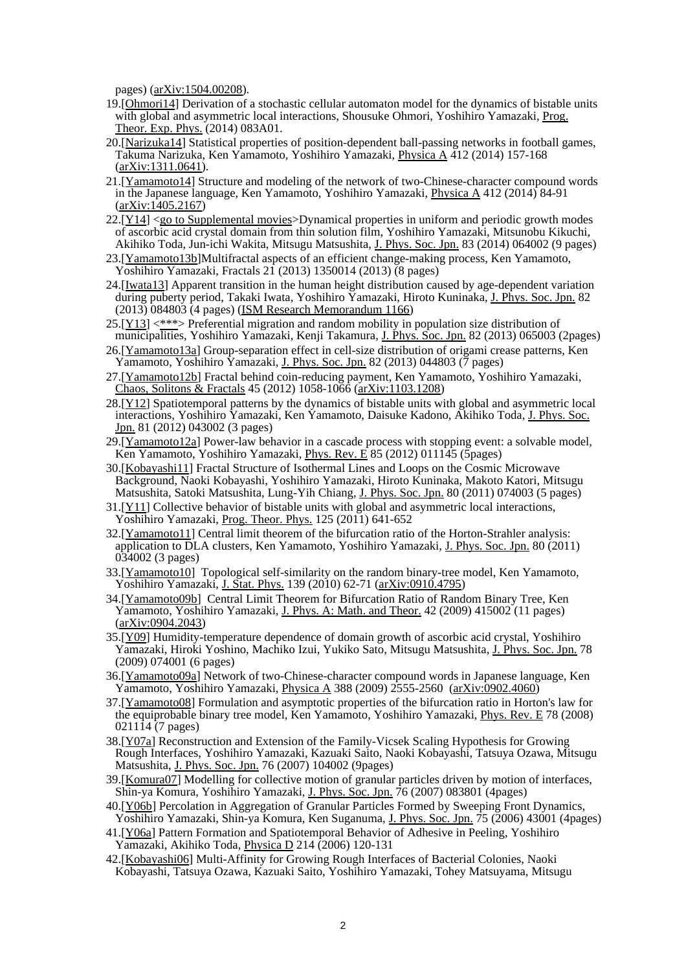pages) ([arXiv:1504.00208](http://arxiv.org/abs/1504.00208)).

- 19.[[Ohmori14\]](http://dx.doi.org/10.1093/ptep/ptu106) Derivation of a stochastic cellular automaton model for the dynamics of bistable units with global and asymmetric local interactions, Shousuke Ohmori, Yoshihiro Yamazaki, [Prog.](https://academic.oup.com/ptep) [Theor. Exp. Phys.](https://academic.oup.com/ptep) (2014) 083A01.
- 20.[[Narizuka14\]](http://dx.doi.org/10.1016/j.physa.2014.06.037) Statistical properties of position-dependent ball-passing networks in football games, Takuma Narizuka, Ken Yamamoto, Yoshihiro Yamazaki, [Physica A](http://www.sciencedirect.com/science/journal/03784371) 412 (2014) 157-168  $(\underline{arXiv:}1311.0641).$
- 21.[[Yamamoto14\]](http://dx.doi.org/10.1016/j.physa.2014.06.031) Structure and modeling of the network of two-Chinese-character compound words in the Japanese language, Ken Yamamoto, Yoshihiro Yamazaki, [Physica A](http://www.sciencedirect.com/science/journal/03784371) 412 (2014) 84-91  $(\arXiv:1405.2167)$
- $22.[Y14] <$  $22.[Y14] <$  $22.[Y14] <$ [go to Supplemental movies](http://www.y2003.phys.waseda.ac.jp/cgi-bin/fswiki/wiki.cgi?page=Suppl%2EMat%2E)>Dynamical properties in uniform and periodic growth modes of ascorbic acid crystal domain from thin solution film, Yoshihiro Yamazaki, Mitsunobu Kikuchi, Akihiko Toda, Jun-ichi Wakita, Mitsugu Matsushita, [J. Phys. Soc. Jpn.](http://journals.jps.jp/journal/jpsj) 83 (2014) 064002 (9 pages)
- 23.[[Yamamoto13b](http://dx.doi.org/10.1142/S0218348X1350014X)]Multifractal aspects of an efficient change-making process, Ken Yamamoto, Yoshihiro Yamazaki, Fractals 21 (2013) 1350014 (2013) (8 pages)
- 24.[[Iwata13](http://dx.doi.org/10.7566/JPSJ.82.084803)] Apparent transition in the human height distribution caused by age-dependent variation during puberty period, Takaki Iwata, Yoshihiro Yamazaki, Hiroto Kuninaka, [J. Phys. Soc. Jpn.](http://journals.jps.jp/journal/jpsj) 82 (2013) 084803 (4 pages) ([ISM Research Memorandum 1166](http://www.ism.ac.jp/editsec/resmemo/resmemo-file/resm1166.htm))
- 25.[[Y13\]](http://dx.doi.org/10.7566/JPSJ.82.065003) <[\\*\\*\\*](http://www.y2003.phys.waseda.ac.jp/works/Y13_JPSJ.pdf)> Preferential migration and random mobility in population size distribution of municipalities, Yoshihiro Yamazaki, Kenji Takamura, [J. Phys. Soc. Jpn.](http://journals.jps.jp/journal/jpsj) 82 (2013) 065003 (2pages)
- 26.[[Yamamoto13a](http://dx.doi.org/10.7566/JPSJ.82.044803)] Group-separation effect in cell-size distribution of origami crease patterns, Ken Yamamoto, Yoshihiro Yamazaki, [J. Phys. Soc. Jpn.](http://journals.jps.jp/journal/jpsj) 82 (2013) 044803 (7 pages)
- 27.[[Yamamoto12b](http://dx.doi.org/10.1016/j.chaos.2012.05.004)] Fractal behind coin-reducing payment, Ken Yamamoto, Yoshihiro Yamazaki, [Chaos, Solitons & Fractals](http://www.sciencedirect.com/science/journal/09600779) 45 (2012) 1058-1066 ([arXiv:1103.1208](http://arxiv.org/abs/1103.1208))
- 28.[[Y12\]](http://dx.doi.org/10.1143/JPSJ.81.043002) Spatiotemporal patterns by the dynamics of bistable units with global and asymmetric local interactions, Yoshihiro Yamazaki, Ken Yamamoto, Daisuke Kadono, Akihiko Toda, [J. Phys. Soc.](http://journals.jps.jp/journal/jpsj) [Jpn.](http://journals.jps.jp/journal/jpsj) 81 (2012) 043002 (3 pages)
- 29.[[Yamamoto12a](http://dx.doi.org/10.1103/PhysRevE.85.011145)] Power-law behavior in a cascade process with stopping event: a solvable model, Ken Yamamoto, Yoshihiro Yamazaki, [Phys. Rev. E](http://journals.aps.org/pre/) 85 (2012) 011145 (5pages)
- 30.[[Kobayashi11](http://dx.doi.org/10.1143/JPSJ.80.074003)] Fractal Structure of Isothermal Lines and Loops on the Cosmic Microwave Background, Naoki Kobayashi, Yoshihiro Yamazaki, Hiroto Kuninaka, Makoto Katori, Mitsugu Matsushita, Satoki Matsushita, Lung-Yih Chiang, [J. Phys. Soc. Jpn.](http://journals.jps.jp/journal/jpsj) 80 (2011) 074003 (5 pages)
- 31.[[Y11\]](http://dx.doi.org/10.1143/PTP.125.641) Collective behavior of bistable units with global and asymmetric local interactions, Yoshihiro Yamazaki, [Prog. Theor. Phys.](http://ptp.ipap.jp/journal/) 125 (2011) 641-652
- 32.[[Yamamoto11\]](http://dx.doi.org/10.1143/JPSJ.80.034002) Central limit theorem of the bifurcation ratio of the Horton-Strahler analysis: application to DLA clusters, Ken Yamamoto, Yoshihiro Yamazaki, [J. Phys. Soc. Jpn.](http://journals.jps.jp/journal/jpsj) 80 (2011) 034002 (3 pages)
- 33.[[Yamamoto10\]](http://dx.doi.org/10.1007/s10955-010-9928-5) Topological self-similarity on the random binary-tree model, Ken Yamamoto, Yoshihiro Yamazaki, [J. Stat. Phys.](http://www.springerlink.com/content/102588) 139 (2010) 62-71 ([arXiv:0910.4795](http://arxiv.org/abs/0910.4795))
- 34.[[Yamamoto09b](http://dx.doi.org/10.1088/1751-8113/42/41/415002)] Central Limit Theorem for Bifurcation Ratio of Random Binary Tree, Ken Yamamoto, Yoshihiro Yamazaki, [J. Phys. A: Math. and Theor.](http://www.iop.org/EJ/journal/JPhysA) 42 (2009) 415002 (11 pages) [\(arXiv:0904.2043\)](http://arxiv.org/abs/0904.2043)
- 35.[[Y09\]](http://dx.doi.org/10.1143/JPSJ.78.074001) Humidity-temperature dependence of domain growth of ascorbic acid crystal, Yoshihiro Yamazaki, Hiroki Yoshino, Machiko Izui, Yukiko Sato, Mitsugu Matsushita, [J. Phys. Soc. Jpn.](http://journals.jps.jp/journal/jpsj) 78 (2009) 074001 (6 pages)
- 36.[[Yamamoto09a](http://dx.doi.org/10.1016/j.physa.2009.02.032)] Network of two-Chinese-character compound words in Japanese language, Ken Yamamoto, Yoshihiro Yamazaki, [Physica A](http://www.sciencedirect.com/science/journal/03784371) 388 (2009) 2555-2560 [\(arXiv:0902.4060\)](http://arxiv.org/abs/0902.4060)
- 37.[[Yamamoto08\]](http://link.aps.org/abstract/PRE/v78/e021114) Formulation and asymptotic properties of the bifurcation ratio in Horton's law for the equiprobable binary tree model, Ken Yamamoto, Yoshihiro Yamazaki, [Phys. Rev. E](http://journals.aps.org/pre/) 78 (2008) 021114 (7 pages)
- 38.[[Y07a](http://dx.doi.org/10.1143/JPSJ.76.104002)] Reconstruction and Extension of the Family-Vicsek Scaling Hypothesis for Growing Rough Interfaces, Yoshihiro Yamazaki, Kazuaki Saito, Naoki Kobayashi, Tatsuya Ozawa, Mitsugu Matsushita, [J. Phys. Soc. Jpn.](http://journals.jps.jp/journal/jpsj) 76 (2007) 104002 (9pages)
- 39.[[Komura07\]](http://dx.doi.org/10.1143/JPSJ.76.083801) Modelling for collective motion of granular particles driven by motion of interfaces, Shin-ya Komura, Yoshihiro Yamazaki, [J. Phys. Soc. Jpn.](http://journals.jps.jp/journal/jpsj) 76 (2007) 083801 (4pages)
- 40.[[Y06b\]](http://dx.doi.org/10.1143/JPSJ.75.043001) Percolation in Aggregation of Granular Particles Formed by Sweeping Front Dynamics, Yoshihiro Yamazaki, Shin-ya Komura, Ken Suganuma, [J. Phys. Soc. Jpn.](http://journals.jps.jp/journal/jpsj) 75 (2006) 43001 (4pages)
- 41.[[Y06a](http://dx.doi.org/10.1016/j.physd.2005.12.009)] Pattern Formation and Spatiotemporal Behavior of Adhesive in Peeling, Yoshihiro Yamazaki, Akihiko Toda, [Physica D](http://www.sciencedirect.com/science/journal/01672789) 214 (2006) 120-131
- 42.[[Kobayashi06](http://dx.doi.org/10.1143/PTPS.161.232)] Multi-Affinity for Growing Rough Interfaces of Bacterial Colonies, Naoki Kobayashi, Tatsuya Ozawa, Kazuaki Saito, Yoshihiro Yamazaki, Tohey Matsuyama, Mitsugu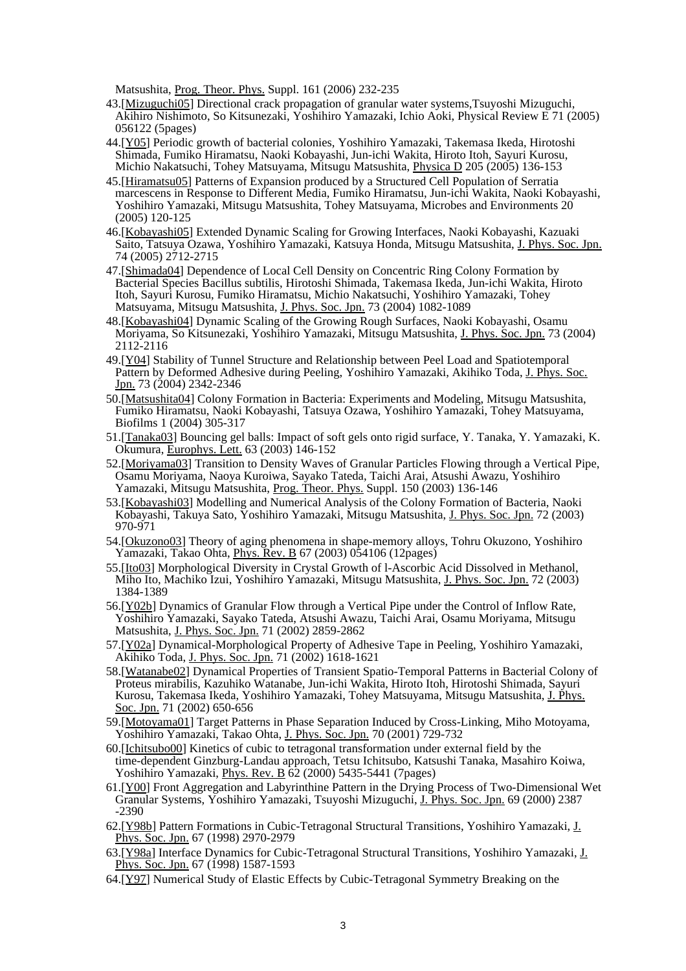Matsushita, [Prog. Theor. Phys.](http://ptp.ipap.jp/journal/) Suppl. 161 (2006) 232-235

- 43.[[Mizuguchi05\]](http://link.aps.org/doi/10.1103/PhysRevE.71.056122) Directional crack propagation of granular water systems,Tsuyoshi Mizuguchi, Akihiro Nishimoto, So Kitsunezaki, Yoshihiro Yamazaki, Ichio Aoki, Physical Review E 71 (2005) 056122 (5pages)
- 44.[[Y05\]](http://dx.doi.org/10.1016/j.physd.2004.12.013) Periodic growth of bacterial colonies, Yoshihiro Yamazaki, Takemasa Ikeda, Hirotoshi Shimada, Fumiko Hiramatsu, Naoki Kobayashi, Jun-ichi Wakita, Hiroto Itoh, Sayuri Kurosu, Michio Nakatsuchi, Tohey Matsuyama, Mitsugu Matsushita, [Physica D](http://www.sciencedirect.com/science/journal/01672789) 205 (2005) 136-153
- 45.[[Hiramatsu05\]](http://dx.doi.org/10.1264/jsme2.20.120) Patterns of Expansion produced by a Structured Cell Population of Serratia marcescens in Response to Different Media, Fumiko Hiramatsu, Jun-ichi Wakita, Naoki Kobayashi, Yoshihiro Yamazaki, Mitsugu Matsushita, Tohey Matsuyama, Microbes and Environments 20 (2005) 120-125
- 46.[[Kobayashi05](http://dx.doi.org/10.1143/JPSJ.74.2712)] Extended Dynamic Scaling for Growing Interfaces, Naoki Kobayashi, Kazuaki Saito, Tatsuya Ozawa, Yoshihiro Yamazaki, Katsuya Honda, Mitsugu Matsushita, [J. Phys. Soc. Jpn.](http://journals.jps.jp/journal/jpsj) 74 (2005) 2712-2715
- 47.[[Shimada04\]](http://dx.doi.org/10.1143/JPSJ.73.1082) Dependence of Local Cell Density on Concentric Ring Colony Formation by Bacterial Species Bacillus subtilis, Hirotoshi Shimada, Takemasa Ikeda, Jun-ichi Wakita, Hiroto Itoh, Sayuri Kurosu, Fumiko Hiramatsu, Michio Nakatsuchi, Yoshihiro Yamazaki, Tohey Matsuyama, Mitsugu Matsushita, [J. Phys. Soc. Jpn.](http://journals.jps.jp/journal/jpsj) 73 (2004) 1082-1089
- 48.[[Kobayashi04](http://dx.doi.org/10.1143/JPSJ.73.2112)] Dynamic Scaling of the Growing Rough Surfaces, Naoki Kobayashi, Osamu Moriyama, So Kitsunezaki, Yoshihiro Yamazaki, Mitsugu Matsushita, [J. Phys. Soc. Jpn.](http://journals.jps.jp/journal/jpsj) 73 (2004) 2112-2116
- 49.[[Y04\]](http://dx.doi.org/10.1143/JPSJ.73.2342) Stability of Tunnel Structure and Relationship between Peel Load and Spatiotemporal Pattern by Deformed Adhesive during Peeling, Yoshihiro Yamazaki, Akihiko Toda, [J. Phys. Soc.](http://journals.jps.jp/journal/jpsj) [Jpn.](http://journals.jps.jp/journal/jpsj) 73 (2004) 2342-2346
- 50.[[Matsushita04](http://dx.doi.org/10.1017/S1479050505001626)] Colony Formation in Bacteria: Experiments and Modeling, Mitsugu Matsushita, Fumiko Hiramatsu, Naoki Kobayashi, Tatsuya Ozawa, Yoshihiro Yamazaki, Tohey Matsuyama, Biofilms 1 (2004) 305-317
- 51.[[Tanaka03](http://dx.doi.org/10.1209/epl/i2003-00462-x)] Bouncing gel balls: Impact of soft gels onto rigid surface, Y. Tanaka, Y. Yamazaki, K. Okumura, [Europhys. Lett.](http://iopscience.iop.org/journal/0295-5075) 63 (2003) 146-152
- 52.[[Moriyama03\]](http://dx.doi.org/10.1143/PTPS.150.136) Transition to Density Waves of Granular Particles Flowing through a Vertical Pipe, Osamu Moriyama, Naoya Kuroiwa, Sayako Tateda, Taichi Arai, Atsushi Awazu, Yoshihiro Yamazaki, Mitsugu Matsushita, [Prog. Theor. Phys.](http://ptp.ipap.jp/journal/) Suppl. 150 (2003) 136-146
- 53.[[Kobayashi03](http://dx.doi.org/10.1143/JPSJ.72.970)] Modelling and Numerical Analysis of the Colony Formation of Bacteria, Naoki Kobayashi, Takuya Sato, Yoshihiro Yamazaki, Mitsugu Matsushita, [J. Phys. Soc. Jpn.](http://journals.jps.jp/journal/jpsj) 72 (2003) 970-971
- 54.[[Okuzono03\]](http://link.aps.org/doi/10.1103/PhysRevB.67.054106) Theory of aging phenomena in shape-memory alloys, Tohru Okuzono, Yoshihiro Yamazaki, Takao Ohta, [Phys. Rev. B](http://journals.aps.org/prb/) 67 (2003) 054106 (12pages)
- 55.[[Ito03\]](http://dx.doi.org/10.1143/JPSJ.72.1384) Morphological Diversity in Crystal Growth of l-Ascorbic Acid Dissolved in Methanol, Miho Ito, Machiko Izui, Yoshihiro Yamazaki, Mitsugu Matsushita, [J. Phys. Soc. Jpn.](http://journals.jps.jp/journal/jpsj) 72 (2003) 1384-1389
- 56.[[Y02b\]](http://dx.doi.org/10.1143/JPSJ.71.2859) Dynamics of Granular Flow through a Vertical Pipe under the Control of Inflow Rate, Yoshihiro Yamazaki, Sayako Tateda, Atsushi Awazu, Taichi Arai, Osamu Moriyama, Mitsugu Matsushita, [J. Phys. Soc. Jpn.](http://journals.jps.jp/journal/jpsj) 71 (2002) 2859-2862
- 57.[[Y02a](http://dx.doi.org/10.1143/JPSJ.71.1618)] Dynamical-Morphological Property of Adhesive Tape in Peeling, Yoshihiro Yamazaki, Akihiko Toda, [J. Phys. Soc. Jpn.](http://journals.jps.jp/journal/jpsj) 71 (2002) 1618-1621
- 58.[[Watanabe02](http://dx.doi.org/10.1143/JPSJ.71.650)] Dynamical Properties of Transient Spatio-Temporal Patterns in Bacterial Colony of Proteus mirabilis, Kazuhiko Watanabe, Jun-ichi Wakita, Hiroto Itoh, Hirotoshi Shimada, Sayuri Kurosu, Takemasa Ikeda, Yoshihiro Yamazaki, Tohey Matsuyama, Mitsugu Matsushita, [J. Phys.](http://journals.jps.jp/journal/jpsj) [Soc. Jpn.](http://journals.jps.jp/journal/jpsj) 71 (2002) 650-656
- 59.[[Motoyama01\]](http://dx.doi.org/10.1143/JPSJ.70.729) Target Patterns in Phase Separation Induced by Cross-Linking, Miho Motoyama, Yoshihiro Yamazaki, Takao Ohta, [J. Phys. Soc. Jpn.](http://journals.jps.jp/journal/jpsj) 70 (2001) 729-732
- 60.[[Ichitsubo00](http://link.aps.org/doi/10.1103/PhysRevB.62.5435)] Kinetics of cubic to tetragonal transformation under external field by the time-dependent Ginzburg-Landau approach, Tetsu Ichitsubo, Katsushi Tanaka, Masahiro Koiwa, Yoshihiro Yamazaki, *Phys. Rev. B* 62 (2000) 5435-5441 (7pages)
- 61.[[Y00\]](http://dx.doi.org/10.1143/JPSJ.69.2387) Front Aggregation and Labyrinthine Pattern in the Drying Process of Two-Dimensional Wet Granular Systems, Yoshihiro Yamazaki, Tsuyoshi Mizuguchi, [J. Phys. Soc. Jpn.](http://journals.jps.jp/journal/jpsj) 69 (2000) 2387 -2390
- 62.[[Y98b\]](http://journals.jps.jp/doi/abs/10.1143/JPSJ.67.2970) Pattern Formations in Cubic-Tetragonal Structural Transitions, Yoshihiro Yamazaki, [J.](http://journals.jps.jp/journal/jpsj) [Phys. Soc. Jpn.](http://journals.jps.jp/journal/jpsj) 67 (1998) 2970-2979
- 63.[[Y98a](http://dx.doi.org/10.1143/JPSJ.67.1587)] Interface Dynamics for Cubic-Tetragonal Structural Transitions, Yoshihiro Yamazaki, [J.](http://journals.jps.jp/journal/jpsj) [Phys. Soc. Jpn.](http://journals.jps.jp/journal/jpsj) 67 (1998) 1587-1593
- 64.[[Y97\]](http://dx.doi.org/10.1143/JPSJ.66.2628) Numerical Study of Elastic Effects by Cubic-Tetragonal Symmetry Breaking on the